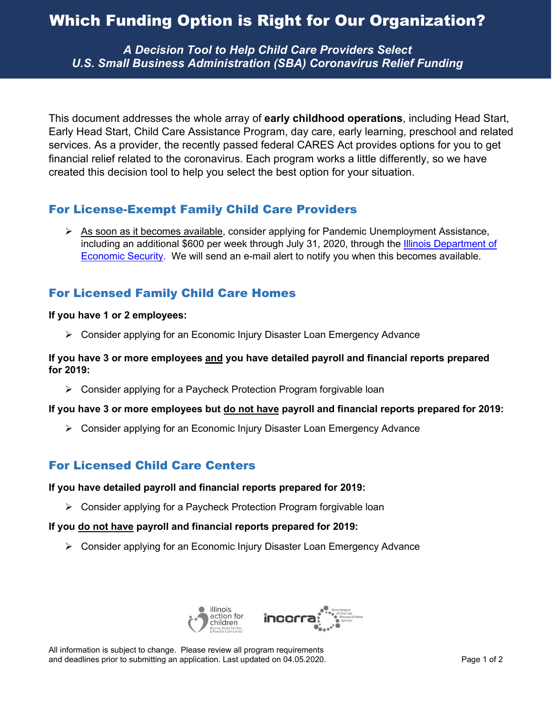# Which Funding Option is Right for Our Organization?

*A Decision Tool to Help Child Care Providers Select U.S. Small Business Administration (SBA) Coronavirus Relief Funding*

This document addresses the whole array of **early childhood operations**, including Head Start, Early Head Start, Child Care Assistance Program, day care, early learning, preschool and related services. As a provider, the recently passed federal CARES Act provides options for you to get financial relief related to the coronavirus. Each program works a little differently, so we have created this decision tool to help you select the best option for your situation.

# For License-Exempt Family Child Care Providers

 $\triangleright$  As soon as it becomes available, consider applying for Pandemic Unemployment Assistance, including an additional \$600 per week through July 31, 2020, through the [Illinois Department of](https://www2.illinois.gov/ides/Pages/COVID-19-and-Unemployment-Benefits.aspx)  [Economic Security.](https://www2.illinois.gov/ides/Pages/COVID-19-and-Unemployment-Benefits.aspx) We will send an e-mail alert to notify you when this becomes available.

# For Licensed Family Child Care Homes

## **If you have 1 or 2 employees:**

 $\triangleright$  Consider applying for an Economic Injury Disaster Loan Emergency Advance

#### **If you have 3 or more employees and you have detailed payroll and financial reports prepared for 2019:**

Consider applying for a Paycheck Protection Program forgivable loan

## **If you have 3 or more employees but do not have payroll and financial reports prepared for 2019:**

 $\triangleright$  Consider applying for an Economic Injury Disaster Loan Emergency Advance

# For Licensed Child Care Centers

#### **If you have detailed payroll and financial reports prepared for 2019:**

Consider applying for a Paycheck Protection Program forgivable loan

## **If you do not have payroll and financial reports prepared for 2019:**

 $\triangleright$  Consider applying for an Economic Injury Disaster Loan Emergency Advance



All information is subject to change. Please review all program requirements and deadlines prior to submitting an application. Last updated on 04.05.2020. Page 1 of 2